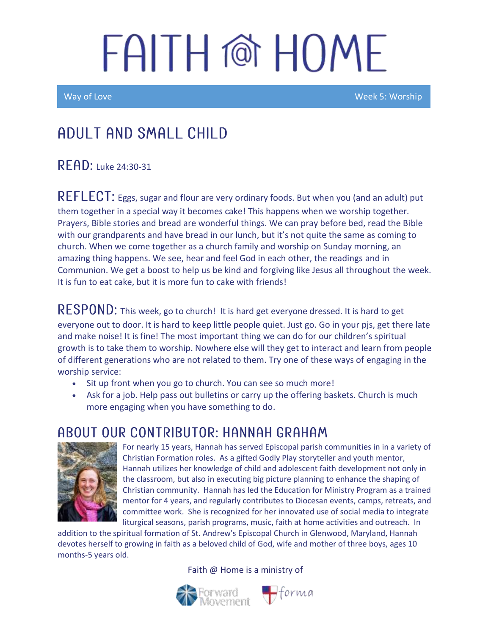Way of Love New York New York 2012 (New York 2012) And The Week 5: Worship

### Adult and Small Child

 $R$   $F$   $AD:$  Luke 24:30-31

REFLECT: Eggs, sugar and flour are very ordinary foods. But when you (and an adult) put them together in a special way it becomes cake! This happens when we worship together. Prayers, Bible stories and bread are wonderful things. We can pray before bed, read the Bible with our grandparents and have bread in our lunch, but it's not quite the same as coming to church. When we come together as a church family and worship on Sunday morning, an amazing thing happens. We see, hear and feel God in each other, the readings and in Communion. We get a boost to help us be kind and forgiving like Jesus all throughout the week. It is fun to eat cake, but it is more fun to cake with friends!

 **This week, go to church! It is hard get everyone dressed. It is hard to get** everyone out to door. It is hard to keep little people quiet. Just go. Go in your pjs, get there late and make noise! It is fine! The most important thing we can do for our children's spiritual growth is to take them to worship. Nowhere else will they get to interact and learn from people of different generations who are not related to them. Try one of these ways of engaging in the worship service:

- Sit up front when you go to church. You can see so much more!
- Ask for a job. Help pass out bulletins or carry up the offering baskets. Church is much more engaging when you have something to do.

#### ABOUT OUR CONTRIBUTOR: HANNAH GRAHAM



For nearly 15 years, Hannah has served Episcopal parish communities in in a variety of Christian Formation roles. As a gifted Godly Play storyteller and youth mentor, Hannah utilizes her knowledge of child and adolescent faith development not only in the classroom, but also in executing big picture planning to enhance the shaping of Christian community. Hannah has led the Education for Ministry Program as a trained mentor for 4 years, and regularly contributes to Diocesan events, camps, retreats, and committee work. She is recognized for her innovated use of social media to integrate liturgical seasons, parish programs, music, faith at home activities and outreach. In

addition to the spiritual formation of St. Andrew's Episcopal Church in Glenwood, Maryland, Hannah devotes herself to growing in faith as a beloved child of God, wife and mother of three boys, ages 10 months-5 years old.

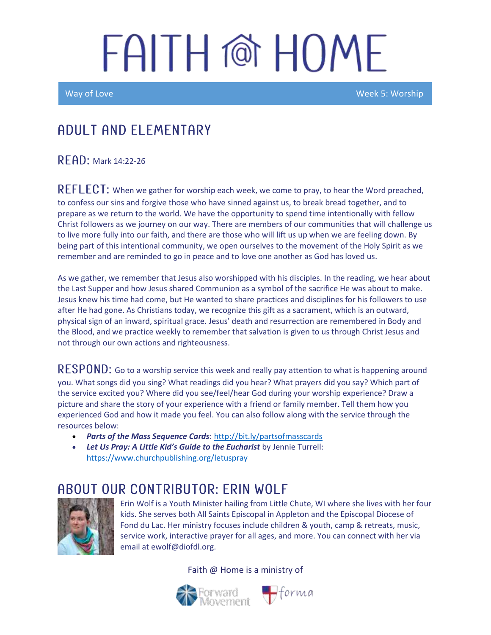Ī

Way of Love Week 5: Worship

#### A DULT AND ELEMENTARY

RFAD: Mark 14:22-26

 $REFLECT$ : When we gather for worship each week, we come to pray, to hear the Word preached, to confess our sins and forgive those who have sinned against us, to break bread together, and to prepare as we return to the world. We have the opportunity to spend time intentionally with fellow Christ followers as we journey on our way. There are members of our communities that will challenge us to live more fully into our faith, and there are those who will lift us up when we are feeling down. By being part of this intentional community, we open ourselves to the movement of the Holy Spirit as we remember and are reminded to go in peace and to love one another as God has loved us.

As we gather, we remember that Jesus also worshipped with his disciples. In the reading, we hear about the Last Supper and how Jesus shared Communion as a symbol of the sacrifice He was about to make. Jesus knew his time had come, but He wanted to share practices and disciplines for his followers to use after He had gone. As Christians today, we recognize this gift as a sacrament, which is an outward, physical sign of an inward, spiritual grace. Jesus' death and resurrection are remembered in Body and the Blood, and we practice weekly to remember that salvation is given to us through Christ Jesus and not through our own actions and righteousness.

 $\mathsf{RESPOND:}$  Go to a worship service this week and really pay attention to what is happening around you. What songs did you sing? What readings did you hear? What prayers did you say? Which part of the service excited you? Where did you see/feel/hear God during your worship experience? Draw a picture and share the story of your experience with a friend or family member. Tell them how you experienced God and how it made you feel. You can also follow along with the service through the resources below:

- *Parts of the Mass Sequence Cards*[: http://bit.ly/partsofmasscards](http://bit.ly/partsofmasscards)
- *Let Us Pray: A Little Kid's Guide to the Eucharist* by Jennie Turrell: <https://www.churchpublishing.org/letuspray>

#### ABOUT OUR CONTRIBUTOR: ERIN WOLF



Erin Wolf is a Youth Minister hailing from Little Chute, WI where she lives with her four kids. She serves both All Saints Episcopal in Appleton and the Episcopal Diocese of Fond du Lac. Her ministry focuses include children & youth, camp & retreats, music, service work, interactive prayer for all ages, and more. You can connect with her via email at ewolf@diofdl.org.



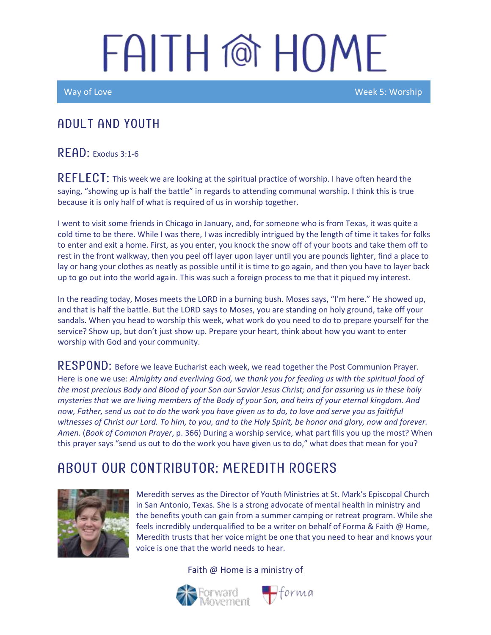Way of Love New York Control of the Control of the Control of the Week 5: Worship

#### A DULT AND YOUTH

RFAD: Exodus 3:1-6

REFLECT: This week we are looking at the spiritual practice of worship. I have often heard the saying, "showing up is half the battle" in regards to attending communal worship. I think this is true because it is only half of what is required of us in worship together.

I went to visit some friends in Chicago in January, and, for someone who is from Texas, it was quite a cold time to be there. While I was there, I was incredibly intrigued by the length of time it takes for folks to enter and exit a home. First, as you enter, you knock the snow off of your boots and take them off to rest in the front walkway, then you peel off layer upon layer until you are pounds lighter, find a place to lay or hang your clothes as neatly as possible until it is time to go again, and then you have to layer back up to go out into the world again. This was such a foreign process to me that it piqued my interest.

In the reading today, Moses meets the LORD in a burning bush. Moses says, "I'm here." He showed up, and that is half the battle. But the LORD says to Moses, you are standing on holy ground, take off your sandals. When you head to worship this week, what work do you need to do to prepare yourself for the service? Show up, but don't just show up. Prepare your heart, think about how you want to enter worship with God and your community.

RESPOND: Before we leave Eucharist each week, we read together the Post Communion Prayer. Here is one we use: *Almighty and everliving God, we thank you for feeding us with the spiritual food of the most precious Body and Blood of your Son our Savior Jesus Christ; and for assuring us in these holy mysteries that we are living members of the Body of your Son, and heirs of your eternal kingdom. And now, Father, send us out to do the work you have given us to do, to love and serve you as faithful witnesses of Christ our Lord. To him, to you, and to the Holy Spirit, be honor and glory, now and forever. Amen.* (*Book of Common Prayer*, p. 366) During a worship service, what part fills you up the most? When this prayer says "send us out to do the work you have given us to do," what does that mean for you?

### ABOUT OUR CONTRIBUTOR: MEREDITH ROGERS



Meredith serves as the Director of Youth Ministries at St. Mark's Episcopal Church in San Antonio, Texas. She is a strong advocate of mental health in ministry and the benefits youth can gain from a summer camping or retreat program. While she feels incredibly underqualified to be a writer on behalf of Forma & Faith @ Home, Meredith trusts that her voice might be one that you need to hear and knows your voice is one that the world needs to hear.